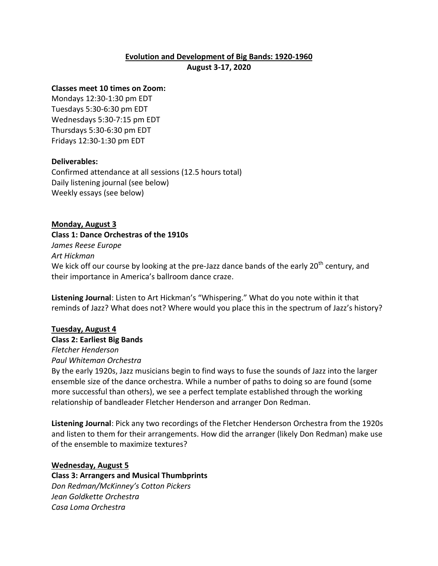# **Evolution and Development of Big Bands: 1920-1960**

**August 3-17, 2020**

## **Classes meet 10 times on Zoom:**

Mondays 12:30-1:30 pm EDT Tuesdays 5:30-6:30 pm EDT Wednesdays 5:30-7:15 pm EDT Thursdays 5:30-6:30 pm EDT Fridays 12:30-1:30 pm EDT

# **Deliverables:**

Confirmed attendance at all sessions (12.5 hours total) Daily listening journal (see below) Weekly essays (see below)

# **Monday, August 3**

**Class 1: Dance Orchestras of the 1910s**

*James Reese Europe*

*Art Hickman*

We kick off our course by looking at the pre-Jazz dance bands of the early 20<sup>th</sup> century, and their importance in America's ballroom dance craze.

**Listening Journal**: Listen to Art Hickman's "Whispering." What do you note within it that reminds of Jazz? What does not? Where would you place this in the spectrum of Jazz's history?

# **Tuesday, August 4**

**Class 2: Earliest Big Bands**

*Fletcher Henderson Paul Whiteman Orchestra*

By the early 1920s, Jazz musicians begin to find ways to fuse the sounds of Jazz into the larger ensemble size of the dance orchestra. While a number of paths to doing so are found (some more successful than others), we see a perfect template established through the working

relationship of bandleader Fletcher Henderson and arranger Don Redman.

**Listening Journal**: Pick any two recordings of the Fletcher Henderson Orchestra from the 1920s and listen to them for their arrangements. How did the arranger (likely Don Redman) make use of the ensemble to maximize textures?

#### **Wednesday, August 5**

**Class 3: Arrangers and Musical Thumbprints** *Don Redman/McKinney's Cotton Pickers Jean Goldkette Orchestra Casa Loma Orchestra*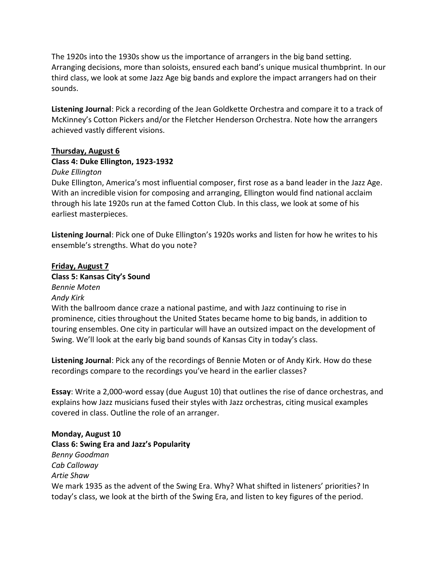The 1920s into the 1930s show us the importance of arrangers in the big band setting. Arranging decisions, more than soloists, ensured each band's unique musical thumbprint. In our third class, we look at some Jazz Age big bands and explore the impact arrangers had on their sounds.

**Listening Journal**: Pick a recording of the Jean Goldkette Orchestra and compare it to a track of McKinney's Cotton Pickers and/or the Fletcher Henderson Orchestra. Note how the arrangers achieved vastly different visions.

# **Thursday, August 6**

# **Class 4: Duke Ellington, 1923-1932**

#### *Duke Ellington*

Duke Ellington, America's most influential composer, first rose as a band leader in the Jazz Age. With an incredible vision for composing and arranging, Ellington would find national acclaim through his late 1920s run at the famed Cotton Club. In this class, we look at some of his earliest masterpieces.

**Listening Journal**: Pick one of Duke Ellington's 1920s works and listen for how he writes to his ensemble's strengths. What do you note?

**Friday, August 7 Class 5: Kansas City's Sound** *Bennie Moten Andy Kirk* With the ballroom dance craze a national pastime, and with Jazz continuing to rise in prominence, cities throughout the United States became home to big bands, in addition to touring ensembles. One city in particular will have an outsized impact on the development of Swing. We'll look at the early big band sounds of Kansas City in today's class.

**Listening Journal**: Pick any of the recordings of Bennie Moten or of Andy Kirk. How do these recordings compare to the recordings you've heard in the earlier classes?

**Essay**: Write a 2,000-word essay (due August 10) that outlines the rise of dance orchestras, and explains how Jazz musicians fused their styles with Jazz orchestras, citing musical examples covered in class. Outline the role of an arranger.

**Monday, August 10 Class 6: Swing Era and Jazz's Popularity** *Benny Goodman Cab Calloway Artie Shaw* We mark 1935 as the advent of the Swing Era. Why? What shifted in listeners' priorities? In today's class, we look at the birth of the Swing Era, and listen to key figures of the period.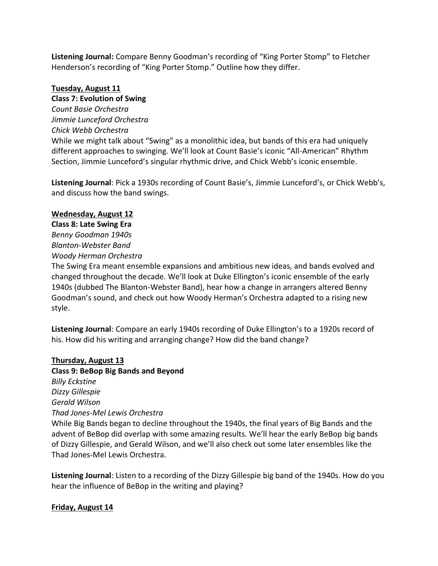**Listening Journal:** Compare Benny Goodman's recording of "King Porter Stomp" to Fletcher Henderson's recording of "King Porter Stomp." Outline how they differ.

# **Tuesday, August 11**

# **Class 7: Evolution of Swing**

*Count Basie Orchestra Jimmie Lunceford Orchestra Chick Webb Orchestra* While we might talk about "Swing" as a monolithic idea, but bands of this era had uniquely different approaches to swinging. We'll look at Count Basie's iconic "All-American" Rhythm Section, Jimmie Lunceford's singular rhythmic drive, and Chick Webb's iconic ensemble.

**Listening Journal**: Pick a 1930s recording of Count Basie's, Jimmie Lunceford's, or Chick Webb's, and discuss how the band swings.

# **Wednesday, August 12**

**Class 8: Late Swing Era** *Benny Goodman 1940s Blanton-Webster Band Woody Herman Orchestra*

The Swing Era meant ensemble expansions and ambitious new ideas, and bands evolved and changed throughout the decade. We'll look at Duke Ellington's iconic ensemble of the early 1940s (dubbed The Blanton-Webster Band), hear how a change in arrangers altered Benny Goodman's sound, and check out how Woody Herman's Orchestra adapted to a rising new style.

**Listening Journal**: Compare an early 1940s recording of Duke Ellington's to a 1920s record of his. How did his writing and arranging change? How did the band change?

#### **Thursday, August 13**

**Class 9: BeBop Big Bands and Beyond** *Billy Eckstine Dizzy Gillespie Gerald Wilson Thad Jones-Mel Lewis Orchestra*

While Big Bands began to decline throughout the 1940s, the final years of Big Bands and the advent of BeBop did overlap with some amazing results. We'll hear the early BeBop big bands of Dizzy Gillespie, and Gerald Wilson, and we'll also check out some later ensembles like the Thad Jones-Mel Lewis Orchestra.

**Listening Journal**: Listen to a recording of the Dizzy Gillespie big band of the 1940s. How do you hear the influence of BeBop in the writing and playing?

# **Friday, August 14**